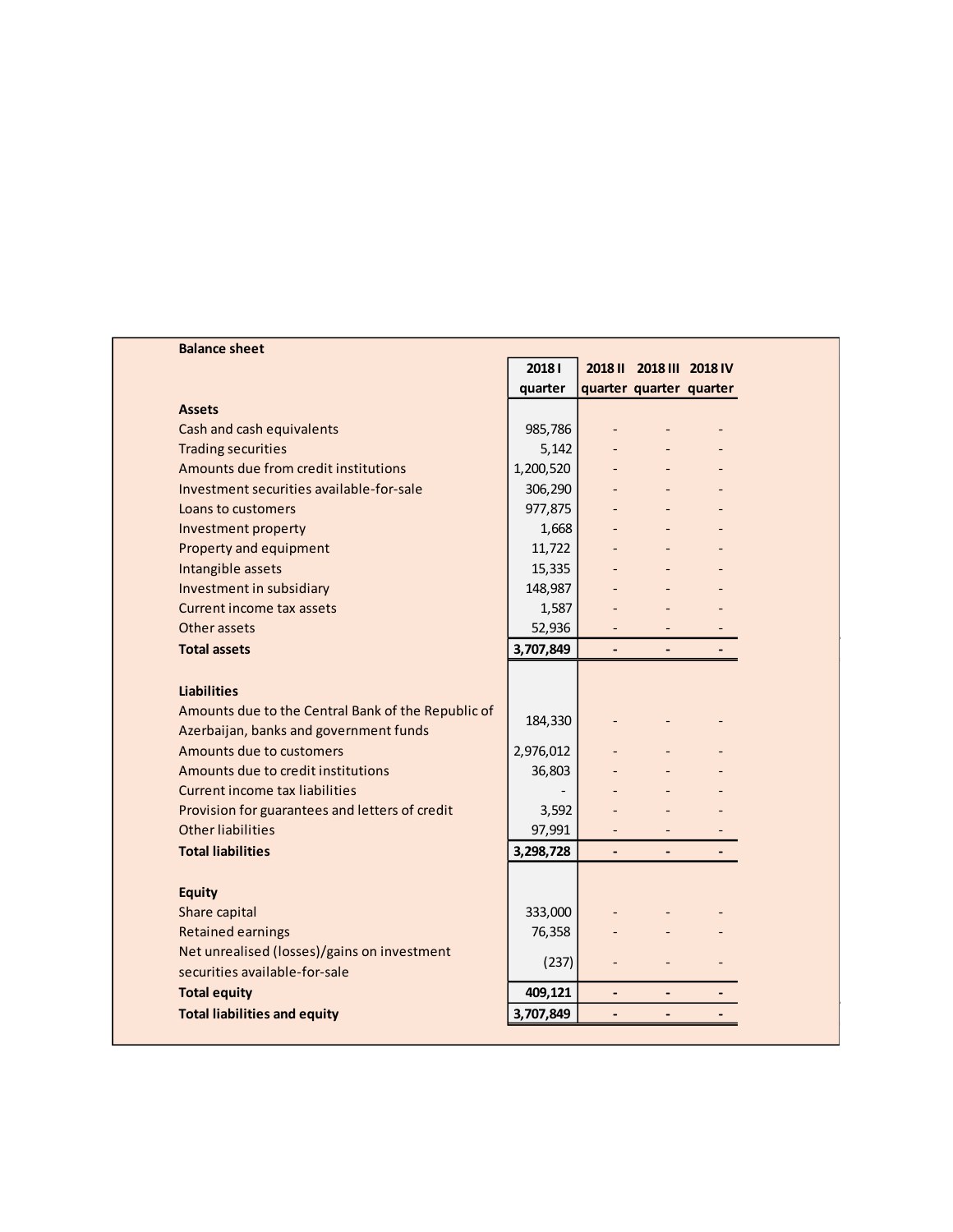| <b>Balance sheet</b>                               |                          |                          |                          |  |
|----------------------------------------------------|--------------------------|--------------------------|--------------------------|--|
|                                                    | 20181                    |                          |                          |  |
|                                                    | quarter                  |                          | quarter quarter quarter  |  |
| <b>Assets</b>                                      |                          |                          |                          |  |
| Cash and cash equivalents                          | 985,786                  |                          |                          |  |
| <b>Trading securities</b>                          | 5,142                    |                          |                          |  |
| Amounts due from credit institutions               | 1,200,520                |                          |                          |  |
| Investment securities available-for-sale           | 306,290                  |                          |                          |  |
| Loans to customers                                 | 977,875                  |                          |                          |  |
| Investment property                                | 1,668                    |                          |                          |  |
| Property and equipment                             | 11,722                   |                          |                          |  |
| Intangible assets                                  | 15,335                   |                          |                          |  |
| Investment in subsidiary                           | 148,987                  | $\overline{\phantom{a}}$ | $\overline{\phantom{a}}$ |  |
| Current income tax assets                          | 1,587                    |                          |                          |  |
| Other assets                                       | 52,936                   |                          |                          |  |
| <b>Total assets</b>                                | 3,707,849                | $\overline{\phantom{a}}$ | $\overline{\phantom{a}}$ |  |
| <b>Liabilities</b>                                 |                          |                          |                          |  |
| Amounts due to the Central Bank of the Republic of | 184,330                  |                          |                          |  |
| Azerbaijan, banks and government funds             |                          |                          |                          |  |
| Amounts due to customers                           | 2,976,012                |                          |                          |  |
| Amounts due to credit institutions                 | 36,803                   |                          |                          |  |
| Current income tax liabilities                     | $\overline{\phantom{a}}$ |                          |                          |  |
| Provision for guarantees and letters of credit     | 3,592                    |                          |                          |  |
| Other liabilities                                  | 97,991                   |                          |                          |  |
| <b>Total liabilities</b>                           | 3,298,728                | $\blacksquare$           | $\overline{\phantom{a}}$ |  |
| <b>Equity</b>                                      |                          |                          |                          |  |
| Share capital                                      | 333,000                  |                          |                          |  |
| <b>Retained earnings</b>                           | 76,358                   |                          |                          |  |
| Net unrealised (losses)/gains on investment        |                          |                          |                          |  |
| securities available-for-sale                      | (237)                    | $\overline{\phantom{0}}$ |                          |  |
| <b>Total equity</b>                                | 409,121                  | $\overline{\phantom{0}}$ | $\overline{\phantom{a}}$ |  |
| <b>Total liabilities and equity</b>                | 3,707,849                |                          |                          |  |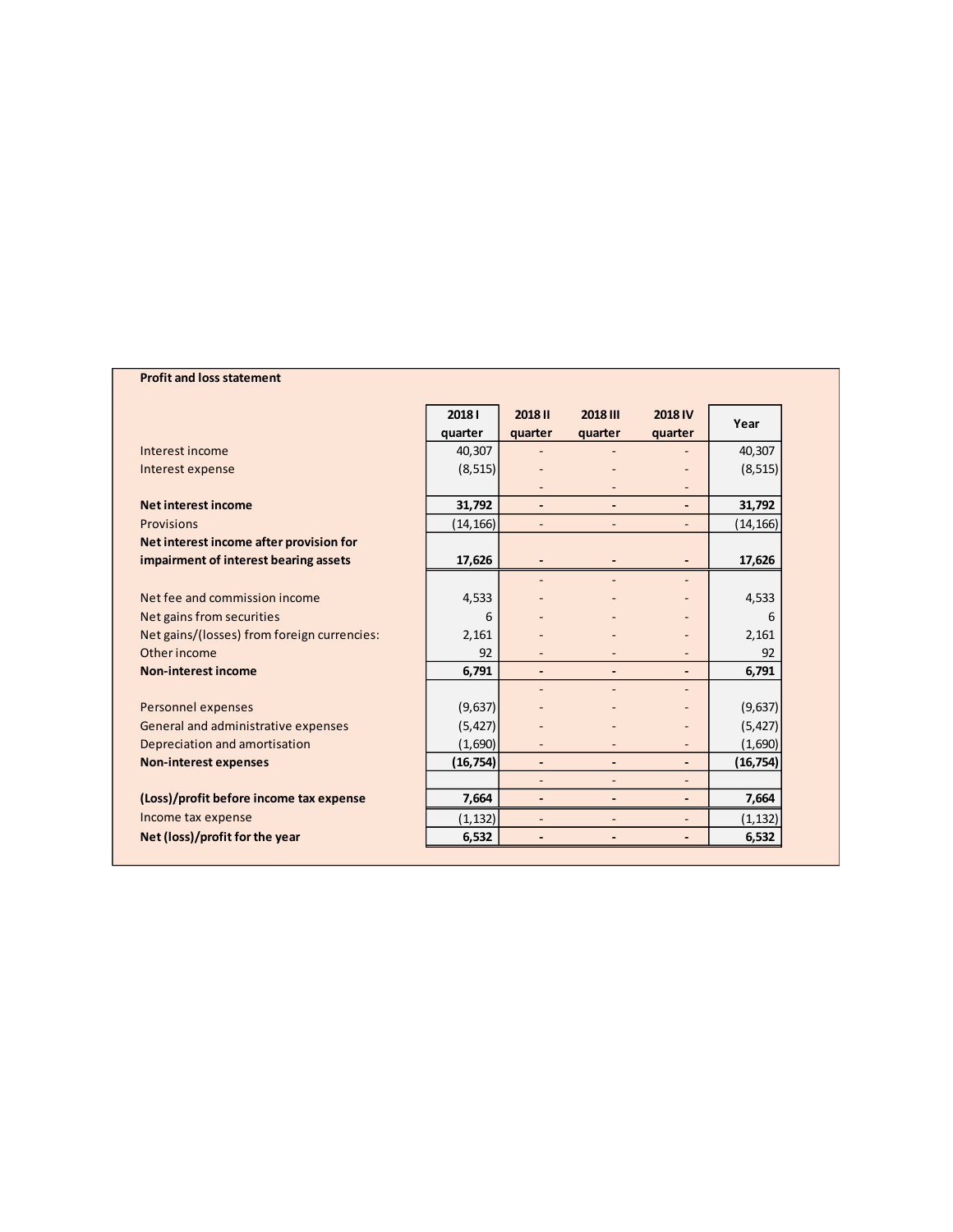## **Profit and loss statement**

|                                             | 20181<br>quarter | 2018 II<br>quarter           | 2018 III<br>quarter      | <b>2018 IV</b><br>quarter    | Year      |
|---------------------------------------------|------------------|------------------------------|--------------------------|------------------------------|-----------|
| Interest income                             | 40,307           |                              |                          |                              | 40,307    |
|                                             |                  |                              |                          |                              |           |
| Interest expense                            | (8, 515)         |                              |                          | ٠                            | (8, 515)  |
| <b>Net interest income</b>                  | 31,792           | $\overline{\phantom{a}}$     |                          | $\overline{\phantom{a}}$     | 31,792    |
| Provisions                                  | (14, 166)        |                              |                          | ٠                            | (14, 166) |
| Net interest income after provision for     |                  |                              |                          |                              |           |
| impairment of interest bearing assets       | 17,626           |                              |                          | $\overline{\phantom{a}}$     | 17,626    |
|                                             |                  |                              |                          |                              |           |
| Net fee and commission income               | 4,533            |                              |                          |                              | 4,533     |
| Net gains from securities                   | 6                |                              |                          |                              | 6         |
| Net gains/(losses) from foreign currencies: | 2,161            |                              |                          |                              | 2,161     |
| Other income                                | 92               |                              |                          |                              | 92        |
| <b>Non-interest income</b>                  | 6,791            | $\qquad \qquad \blacksquare$ |                          | -                            | 6,791     |
|                                             |                  |                              |                          |                              |           |
| Personnel expenses                          | (9,637)          |                              |                          |                              | (9,637)   |
| General and administrative expenses         | (5, 427)         |                              |                          |                              | (5, 427)  |
| Depreciation and amortisation               | (1,690)          |                              |                          |                              | (1,690)   |
| <b>Non-interest expenses</b>                | (16, 754)        | $\qquad \qquad \blacksquare$ |                          | $\overline{\phantom{a}}$     | (16, 754) |
|                                             |                  | $\overline{\phantom{a}}$     | $\overline{\phantom{a}}$ | ٠                            |           |
| (Loss)/profit before income tax expense     | 7,664            |                              |                          | $\qquad \qquad \blacksquare$ | 7,664     |
| Income tax expense                          | (1, 132)         |                              |                          | ٠                            | (1, 132)  |
| Net (loss)/profit for the year              | 6,532            | ٠                            |                          | $\overline{\phantom{a}}$     | 6,532     |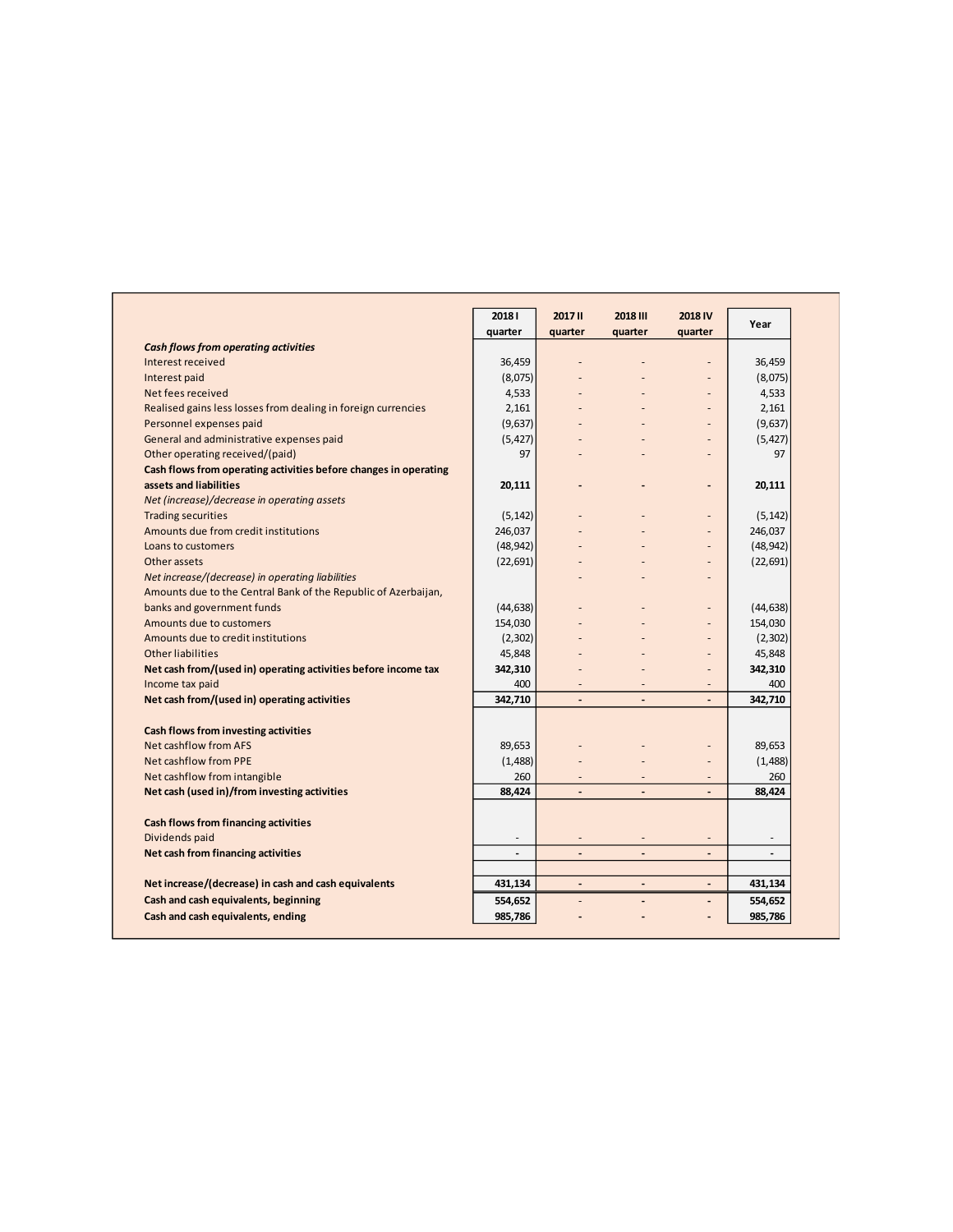|                                                                  | 20181          | 2017 II                  | 2018 III                     | 2018 IV                      | Year                     |
|------------------------------------------------------------------|----------------|--------------------------|------------------------------|------------------------------|--------------------------|
|                                                                  | quarter        | quarter                  | quarter                      | quarter                      |                          |
| <b>Cash flows from operating activities</b>                      |                |                          |                              |                              |                          |
| Interest received                                                | 36,459         | $\overline{a}$           | $\overline{a}$               | $\overline{a}$               | 36,459                   |
| Interest paid                                                    | (8,075)        |                          |                              |                              | (8,075)                  |
| Net fees received                                                | 4,533          |                          |                              | $\overline{a}$               | 4,533                    |
| Realised gains less losses from dealing in foreign currencies    | 2,161          |                          |                              |                              | 2,161                    |
| Personnel expenses paid                                          | (9,637)        |                          |                              | ٠                            | (9,637)                  |
| General and administrative expenses paid                         | (5, 427)       |                          |                              | $\overline{a}$               | (5, 427)                 |
| Other operating received/(paid)                                  | 97             |                          |                              | ٠                            | 97                       |
| Cash flows from operating activities before changes in operating |                |                          |                              |                              |                          |
| assets and liabilities                                           | 20,111         |                          |                              |                              | 20,111                   |
| Net (increase)/decrease in operating assets                      |                |                          |                              |                              |                          |
| <b>Trading securities</b>                                        | (5, 142)       |                          |                              |                              | (5, 142)                 |
| Amounts due from credit institutions                             | 246,037        |                          |                              | $\overline{a}$               | 246,037                  |
| Loans to customers                                               | (48, 942)      |                          |                              | ٠                            | (48, 942)                |
| Other assets                                                     | (22, 691)      |                          |                              |                              | (22, 691)                |
| Net increase/(decrease) in operating liabilities                 |                |                          |                              |                              |                          |
| Amounts due to the Central Bank of the Republic of Azerbaijan,   |                |                          |                              |                              |                          |
| banks and government funds                                       | (44, 638)      |                          |                              | ٠                            | (44, 638)                |
| Amounts due to customers                                         | 154,030        |                          |                              | $\overline{a}$               | 154,030                  |
| Amounts due to credit institutions                               | (2,302)        |                          |                              | ÷,                           | (2,302)                  |
| <b>Other liabilities</b>                                         | 45,848         |                          |                              | ٠                            | 45,848                   |
| Net cash from/(used in) operating activities before income tax   | 342,310        |                          |                              |                              | 342,310                  |
| Income tax paid                                                  | 400            |                          |                              |                              | 400                      |
| Net cash from/(used in) operating activities                     | 342,710        | $\overline{\phantom{a}}$ | $\overline{\phantom{a}}$     | $\qquad \qquad \blacksquare$ | 342,710                  |
|                                                                  |                |                          |                              |                              |                          |
| Cash flows from investing activities                             |                |                          |                              |                              |                          |
| Net cashflow from AFS                                            | 89,653         |                          |                              | $\overline{a}$               | 89,653                   |
| Net cashflow from PPE                                            | (1,488)        |                          |                              | ÷,                           | (1,488)                  |
| Net cashflow from intangible                                     | 260            | $\overline{\phantom{m}}$ |                              | $\overline{a}$               | 260                      |
| Net cash (used in)/from investing activities                     | 88,424         | $\overline{\phantom{a}}$ | $\overline{\phantom{a}}$     | $\overline{a}$               | 88,424                   |
| Cash flows from financing activities                             |                |                          |                              |                              |                          |
| Dividends paid                                                   |                |                          |                              |                              |                          |
| Net cash from financing activities                               | $\overline{a}$ | $\overline{a}$           | $\overline{a}$               | $\overline{a}$               | $\overline{\phantom{a}}$ |
|                                                                  |                |                          |                              |                              |                          |
| Net increase/(decrease) in cash and cash equivalents             | 431,134        |                          | $\qquad \qquad \blacksquare$ | $\overline{\phantom{a}}$     | 431,134                  |
| Cash and cash equivalents, beginning                             | 554,652        |                          |                              | $\overline{a}$               | 554,652                  |
| Cash and cash equivalents, ending                                | 985,786        |                          |                              | $\overline{a}$               | 985,786                  |